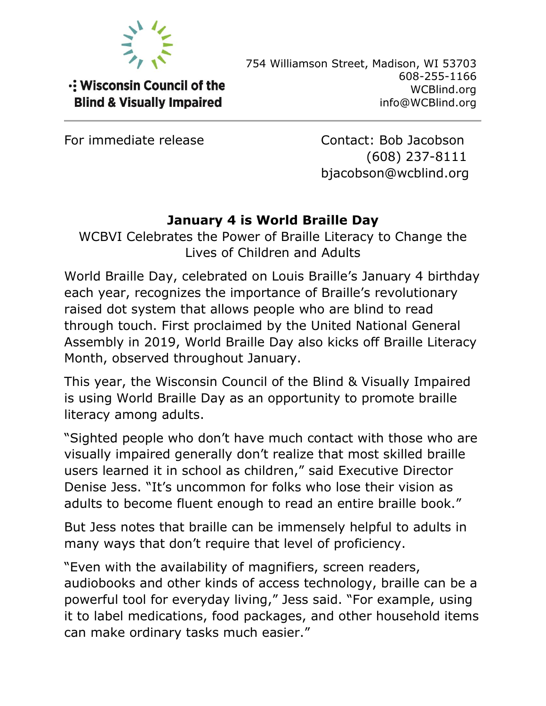

-: Wisconsin Council of the **Blind & Visually Impaired** 

754 Williamson Street, Madison, WI 53703 608-255-1166 WCBlind.org info@WCBlind.org

For immediate release Contact: Bob Jacobson (608) 237-8111 bjacobson@wcblind.org

## **January 4 is World Braille Day**

WCBVI Celebrates the Power of Braille Literacy to Change the Lives of Children and Adults

World Braille Day, celebrated on Louis Braille's January 4 birthday each year, recognizes the importance of Braille's revolutionary raised dot system that allows people who are blind to read through touch. First proclaimed by the United National General Assembly in 2019, World Braille Day also kicks off Braille Literacy Month, observed throughout January.

This year, the Wisconsin Council of the Blind & Visually Impaired is using World Braille Day as an opportunity to promote braille literacy among adults.

"Sighted people who don't have much contact with those who are visually impaired generally don't realize that most skilled braille users learned it in school as children," said Executive Director Denise Jess. "It's uncommon for folks who lose their vision as adults to become fluent enough to read an entire braille book."

But Jess notes that braille can be immensely helpful to adults in many ways that don't require that level of proficiency.

"Even with the availability of magnifiers, screen readers, audiobooks and other kinds of access technology, braille can be a powerful tool for everyday living," Jess said. "For example, using it to label medications, food packages, and other household items can make ordinary tasks much easier."